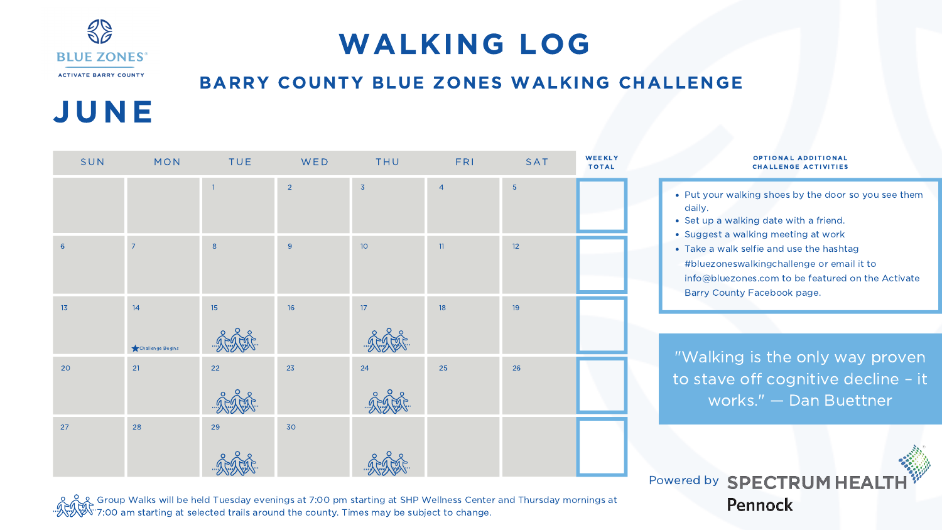# JUNE

### BARRY COUNTY BLUE ZONES WALKING CHALLENGE

- Put your walking shoes by the door so you see them daily.
- Set up a walking date with a friend.
- Suggest a walking meeting at work
- Take a walk selfie and use the hashtag #bluezoneswalkingchallenge or email it to info@bluezones.com to be featured on the Activate Barry County Facebook page.

#### **OPTIONAL ADDITIONAL** CHALLENGE AC TIVITIES

| SUN        | MON<br><b>STATE OF STATE OF STATE OF STATE OF STATE OF STATE OF STATE OF STATE OF STATE OF STATE OF STATE OF STATE OF S</b> | <b>TUE</b>     |                | <b>Example 19 MED THU THU</b> | FRI SAT        |                | Ñ |
|------------|-----------------------------------------------------------------------------------------------------------------------------|----------------|----------------|-------------------------------|----------------|----------------|---|
|            |                                                                                                                             | $\overline{1}$ | $\overline{2}$ | $\overline{3}$                | $\overline{4}$ | $\overline{5}$ |   |
| $\sqrt{6}$ | $\overline{7}$                                                                                                              | $\,8\,$        | $\overline{9}$ | $10o$                         | $11\,$         | 12             |   |
| 13         | 14<br>Challenge Begins                                                                                                      | 15             | 16             | 17 <sup>°</sup>               | 18             | 19             |   |
| $20\,$     | 21                                                                                                                          | 22             | 23             | 24                            | 25             | 26             |   |
| 27         | 28                                                                                                                          | 29             | 30             |                               |                |                |   |

"Walking is the only way proven to stave off cognitive decline – it works." — Dan Buettner

Powered by SPECTRUM HEA **Pennock** 



## WALKING LOG

Group Walks will be held Tuesday evenings at 7:00 pm starting at SHP Wellness Center and Thursday mornings at 7:00 am starting at selected trails around the county. Times may be subject to change.

#### **WEEKLY TOTAL**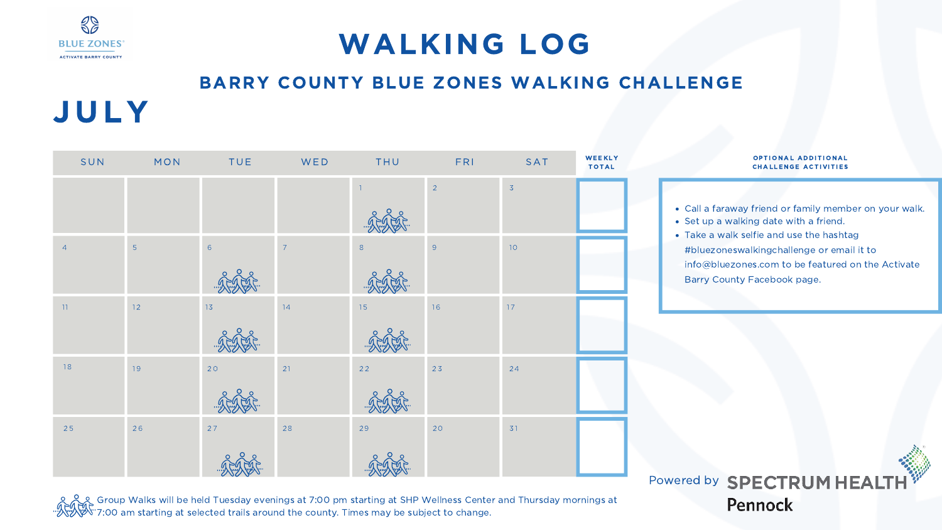JUL Y

| SUN            | MON | <b>TUE</b>      | <b>Example 19 MV ED THU</b> |                 | <b>FRI</b>     | SAT            |
|----------------|-----|-----------------|-----------------------------|-----------------|----------------|----------------|
|                |     |                 |                             | $\vert 1 \vert$ | $\overline{2}$ | $\overline{3}$ |
| $\overline{4}$ | 5   | $6\overline{6}$ | $\overline{7}$              | 8               | 9              | 10             |
| 11             | 12  | 13              | 14                          | 15              | 16             | $17$           |
| 18             | 19  | 20              | 21                          | $22$            | 23             | 24             |
| 25             | 26  | 27              | 28                          | 29              | 20             | 31             |

#### OPTIONAL ADDITIONAL CHALLENGE AC TIVITIES

- Call a faraway friend or family member on your walk.
- Set up a walking date with a friend.
- Take a walk selfie and use the hashtag #bluezoneswalkingchallenge or email it to info@bluezones.com to be featured on the Activate Barry County Facebook page.

### Powered by SPECTRUM HEALT **Pennock**

### BARRY COUNTY BLUE ZONES WALKING CHALLENGE



## WALKING LOG

Group Walks will be held Tuesday evenings at 7:00 pm starting at SHP Wellness Center and Thursday mornings at 7:00 am starting at selected trails around the county. Times may be subject to change.

#### **WEEKLY TOTAL**